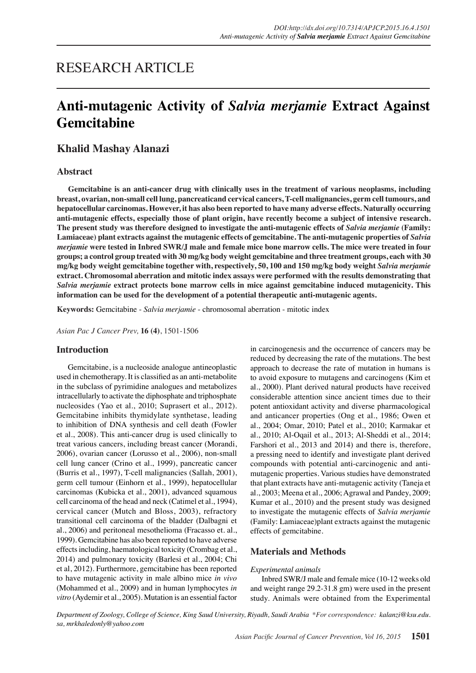## RESEARCH ARTICLE

# **Anti-mutagenic Activity of** *Salvia merjamie* **Extract Against Gemcitabine**

## **Khalid Mashay Alanazi**

## **Abstract**

**Gemcitabine is an anti-cancer drug with clinically uses in the treatment of various neoplasms, including breast, ovarian, non-small cell lung, pancreaticand cervical cancers, T-cell malignancies, germ cell tumours, and hepatocellular carcinomas. However, it has also been reported to have many adverse effects. Naturally occurring anti-mutagenic effects, especially those of plant origin, have recently become a subject of intensive research. The present study was therefore designed to investigate the anti-mutagenic effects of** *Salvia merjamie* **(Family:**  Lamiaceae) plant extracts against the mutagenic effects of gemcitabine. The anti-mutagenic properties of *Salvia merjamie* **were tested in Inbred SWR/J male and female mice bone marrow cells. The mice were treated in four groups; a control group treated with 30 mg/kg body weight gemcitabine and three treatment groups, each with 30 mg/kg body weight gemcitabine together with, respectively, 50, 100 and 150 mg/kg body weight** *Salvia merjamie* **extract. Chromosomal aberration and mitotic index assays were performed with the results demonstrating that**  *Salvia merjamie* **extract protects bone marrow cells in mice against gemcitabine induced mutagenicity. This information can be used for the development of a potential therapeutic anti-mutagenic agents.**

**Keywords:** Gemcitabine - *Salvia merjamie* - chromosomal aberration - mitotic index

*Asian Pac J Cancer Prev,* **16 (4)**, 1501-1506

### **Introduction**

Gemcitabine, is a nucleoside analogue antineoplastic used in chemotherapy. It is classified as an anti-metabolite in the subclass of pyrimidine analogues and metabolizes intracellularly to activate the diphosphate and triphosphate nucleosides (Yao et al., 2010; Suprasert et al., 2012). Gemcitabine inhibits thymidylate synthetase, leading to inhibition of DNA synthesis and cell death (Fowler et al., 2008). This anti-cancer drug is used clinically to treat various cancers, including breast cancer (Morandi, 2006), ovarian cancer (Lorusso et al., 2006), non-small cell lung cancer (Crino et al., 1999), pancreatic cancer (Burris et al., 1997), T-cell malignancies (Sallah, 2001), germ cell tumour (Einhorn et al., 1999), hepatocellular carcinomas (Kubicka et al., 2001), advanced squamous cell carcinoma of the head and neck (Catimel et al., 1994), cervical cancer (Mutch and Bloss, 2003), refractory transitional cell carcinoma of the bladder (Dalbagni et al., 2006) and peritoneal mesothelioma (Fracasso et. al., 1999). Gemcitabine has also been reported to have adverse effects including, haematological toxicity (Crombag et al., 2014) and pulmonary toxicity (Barlesi et al., 2004; Chi et al, 2012). Furthermore, gemcitabine has been reported to have mutagenic activity in male albino mice *in vivo* (Mohammed et al., 2009) and in human lymphocytes *in vitro* (Aydemir et al., 2005). Mutation is an essential factor

in carcinogenesis and the occurrence of cancers may be reduced by decreasing the rate of the mutations. The best approach to decrease the rate of mutation in humans is to avoid exposure to mutagens and carcinogens (Kim et al., 2000). Plant derived natural products have received considerable attention since ancient times due to their potent antioxidant activity and diverse pharmacological and anticancer properties (Ong et al., 1986; Owen et al., 2004; Omar, 2010; Patel et al., 2010; Karmakar et al., 2010; Al-Oqail et al., 2013; Al-Sheddi et al., 2014; Farshori et al., 2013 and 2014) and there is, therefore, a pressing need to identify and investigate plant derived compounds with potential anti-carcinogenic and antimutagenic properties. Various studies have demonstrated that plant extracts have anti-mutagenic activity (Taneja et al., 2003; Meena et al., 2006; Agrawal and Pandey, 2009; Kumar et al., 2010) and the present study was designed to investigate the mutagenic effects of *Salvia merjamie* (Family: Lamiaceae)plant extracts against the mutagenic effects of gemcitabine.

## **Materials and Methods**

#### *Experimental animals*

Inbred SWR/J male and female mice (10-12 weeks old and weight range 29.2-31.8 gm) were used in the present study. Animals were obtained from the Experimental

*Department of Zoology, College of Science, King Saud University, Riyadh, Saudi Arabia \*For correspondence: kalanzi@ksu.edu. sa, mrkhaledonly@yahoo.com*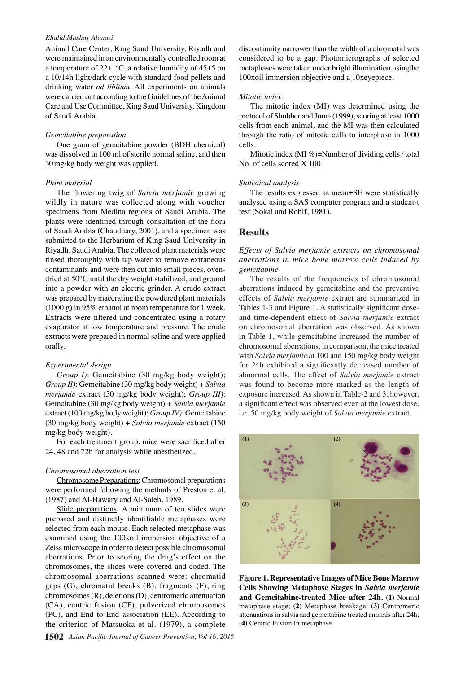#### *Khalid Mashay Alanazi*

Animal Care Center, King Saud University, Riyadh and were maintained in an environmentally controlled room at a temperature of  $22\pm1\degree C$ , a relative humidity of  $45\pm5$  on a 10/14h light/dark cycle with standard food pellets and drinking water *ad libitum*. All experiments on animals were carried out according to the Guidelines of the Animal Care and Use Committee, King Saud University, Kingdom of Saudi Arabia.

#### *Gemcitabine preparation*

One gram of gemcitabine powder (BDH chemical) was dissolved in 100 ml of sterile normal saline, and then 30mg/kg body weight was applied.

#### *Plant material*

The flowering twig of *Salvia merjamie* growing wildly in nature was collected along with voucher specimens from Medina regions of Saudi Arabia. The plants were identified through consultation of the flora of Saudi Arabia (Chaudhary, 2001), and a specimen was submitted to the Herbarium of King Saud University in Riyadh, Saudi Arabia. The collected plant materials were rinsed thoroughly with tap water to remove extraneous contaminants and were then cut into small pieces, ovendried at 50°C until the dry weight stabilized, and ground into a powder with an electric grinder. A crude extract was prepared by macerating the powdered plant materials (1000 g) in 95% ethanol at room temperature for 1 week. Extracts were filtered and concentrated using a rotary evaporator at low temperature and pressure. The crude extracts were prepared in normal saline and were applied orally.

#### *Experimental design*

*Group I)*: Gemcitabine (30 mg/kg body weight); *Group II)*: Gemcitabine (30 mg/kg body weight) + *Salvia merjamie* extract (50 mg/kg body weight); *Group III)*: Gemcitabine (30 mg/kg body weight) + *Salvia merjamie* extract (100 mg/kg body weight); *Group IV)*: Gemcitabine (30 mg/kg body weight) + *Salvia merjamie* extract (150 mg/kg body weight).

For each treatment group, mice were sacrificed after 24, 48 and 72h for analysis while anesthetized.

#### *Chromosomal aberration test*

Chromosome Preparations: Chromosomal preparations were performed following the methods of Preston et al. (1987) and Al-Hawary and Al-Saleh, 1989.

Slide preparations: A minimum of ten slides were prepared and distinctly identifiable metaphases were selected from each mouse. Each selected metaphase was examined using the 100xoil immersion objective of a Zeiss microscope in order to detect possible chromosomal aberrations. Prior to scoring the drug's effect on the chromosomes, the slides were covered and coded. The chromosomal aberrations scanned were: chromatid gaps (G), chromatid breaks (B), fragments (F), ring chromosomes (R), deletions (D), centromeric attenuation (CA), centric fusion (CF), pulverized chromosomes (PC), and End to End association (EE). According to the criterion of Matsuoka et al. (1979), a complete

**1502** *Asian Pacific Journal of Cancer Prevention, Vol 16, 2015*

discontinuity narrower than the width of a chromatid was considered to be a gap. Photomicrographs of selected metaphases were taken under bright illumination usingthe 100xoil immersion objective and a 10xeyepiece.

#### *Mitotic index*

The mitotic index (MI) was determined using the protocol of Shubber and Juma (1999), scoring at least 1000 cells from each animal, and the MI was then calculated through the ratio of mitotic cells to interphase in 1000 cells.

Mitotic index (MI %)=Number of dividing cells / total No. of cells scored X 100

#### *Statistical analysis*

The results expressed as mean±SE were statistically analysed using a SAS computer program and a student-t test (Sokal and Rohlf, 1981).

#### **Results**

*Effects of Salvia merjamie extracts on chromosomal aberrations in mice bone marrow cells induced by gemcitabine* 

The results of the frequencies of chromosomal aberrations induced by gemcitabine and the preventive effects of *Salvia merjamie* extract are summarized in Tables 1-3 and Figure 1. A statistically significant doseand time-dependent effect of *Salvia merjamie* extract on chromosomal aberration was observed. As shown in Table 1, while gemcitabine increased the number of chromosomal aberrations, in comparison, the mice treated with *Salvia merjamie* at 100 and 150 mg/kg body weight for 24h exhibited a significantly decreased number of abnormal cells. The effect of *Salvia merjamie* extract was found to become more marked as the length of exposure increased. As shown in Table-2 and 3, however, a significant effect was observed even at the lowest dose, i.e. 50 mg/kg body weight of *Salvia merjamie* extract.



**Figure 1. Representative Images of Mice Bone Marrow Cells Showing Metaphase Stages in** *Salvia merjamie*  **and Gemcitabine-treated Mice after 24h. (1)** Normal metaphase stage; **(2)** Metaphase breakage; **(3)** Centromeric attenuations in salvia and gemcitabine treated animals after 24h; **(4)** Centric Fusion In metaphase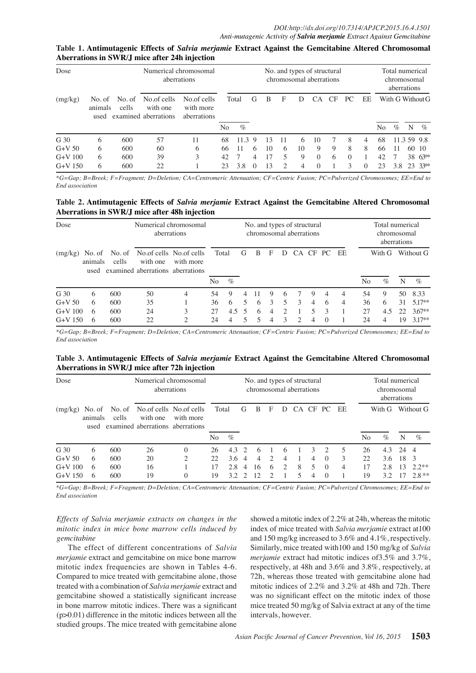| Numerical chromosomal<br>Dose<br>aberrations |                           |                 |                                                 |                                         |    |               | No. and types of structural<br>chromosomal aberrations |    |   |    |          |           |          |          |    |      |    | Total numerical<br>chromosomal<br>aberrations |  |  |  |  |
|----------------------------------------------|---------------------------|-----------------|-------------------------------------------------|-----------------------------------------|----|---------------|--------------------------------------------------------|----|---|----|----------|-----------|----------|----------|----|------|----|-----------------------------------------------|--|--|--|--|
| (mg/kg)                                      | No. of<br>animals<br>used | No. of<br>cells | No.of cells<br>with one<br>examined aberrations | No.of cells<br>with more<br>aberrations | No | Total<br>$\%$ | G                                                      | B  | F | Ð  | CA.      | <b>CF</b> | PC.      | EE       | No | $\%$ | N  | With G Without G<br>$\%$                      |  |  |  |  |
| G 30                                         | 6                         | 600             | 57                                              | 11                                      | 68 | 11.39         |                                                        | 13 |   | 6  | 10       | -7        | 8        | 4        | 68 |      |    | 11.35999.800.0                                |  |  |  |  |
| $G+V$ 50                                     | 6                         | 600             | 60                                              | 6                                       | 66 | 11            | 6                                                      | 10 | 6 | 10 | 9        | 9         | 8        | 8        | 66 |      |    | 60 10                                         |  |  |  |  |
| $G+V$ 100                                    | 6                         | 600             | 39                                              | 3                                       | 42 |               | 4                                                      | 17 | 5 | 9  | $\Omega$ | 6         | $\Omega$ |          | 42 |      |    | 38 63 <sup>**</sup>                           |  |  |  |  |
| $G+V$ 150                                    | 6                         | 600             | 22                                              |                                         | 23 | 3.8           | $\theta$                                               | 13 | 2 | 4  | $\Omega$ |           | 3        | $\Omega$ | 23 | 3.8  | 23 | $33**$                                        |  |  |  |  |

**Table 1. Antimutagenic Effects of** *Salvia merjamie* **Extract Against the Gemcitabine Altered Chromosomal Aberrations in SWR/J mice after 24h injection**

*\*G=Gap; B=Breek; F=Fragment; D=Deletion; CA=Centromeric Attenuation; CF=Centric Fusion; PC=Pulverized Chromosomes; EE=End to*  75.0 75.0 *End association*

#### 50.0 50.0 **Table 2. Antimutagenic Effects of** *Salvia merjamie* **Extract Against the Gemcitabine Altered Chromosomal Aberrations in SWR/J mice after 48h injection**

| Numerical chromosomal<br>Dose<br>aberrations |         |       |                                                   | No. and types of structural<br>chromosomal aberrations |       |      |                          |   |               |               |               |     |               | Total numerical<br>chromosomal<br>aberrations |    |        |    |                     |   |
|----------------------------------------------|---------|-------|---------------------------------------------------|--------------------------------------------------------|-------|------|--------------------------|---|---------------|---------------|---------------|-----|---------------|-----------------------------------------------|----|--------|----|---------------------|---|
| (mg/kg)                                      | animals | cells | with one<br>used examined aberrations aberrations | No. of No. of No. of cells No. of cells<br>with more   | Total |      | G                        | B | F             | D             | $\Gamma$ A    | CF. | PC.           | EE                                            |    | With G |    | Without G           | 0 |
|                                              |         |       |                                                   |                                                        | No    | $\%$ |                          |   |               |               |               |     |               |                                               | No | $\%$   | N  | $\%$                |   |
| G 30                                         | 6       | 600   | 50                                                | 4                                                      | 54    | 9    | 4                        |   | 9             | 6             |               | 9   | 4             | 4                                             | 54 | 9      | 50 | $8.33$ <b>100.0</b> |   |
| $G+V$ 50                                     | 6       | 600   | 35                                                |                                                        | 36    | 6    |                          | 6 | $\mathcal{L}$ | 5             | 3             | 4   | -6            | 4                                             | 36 | 6      | 31 | $5.17**$            |   |
| $G+V$ 100                                    | 6       | 600   | 24                                                |                                                        | 27    | 4.5  | $\overline{\phantom{1}}$ | 6 | 4             | $\mathcal{D}$ |               | 5   | $\mathcal{R}$ |                                               | 27 | 4.5    | 22 | $3.67**$            |   |
| $G+V$ 150                                    | 6       | 600   | 22                                                | ∍                                                      | 24    |      |                          |   | 4             | 3             | $\mathcal{D}$ | 4   | $\Omega$      |                                               | 24 |        | 19 | $3.17**$            |   |

*\*G=Gap; B=Breek; F=Fragment; D=Deletion; CA=Centromeric Attenuation; CF=Centric Fusion; PC=Pulverized Chromosomes; EE=End to*  75.0 75.0 *End association*

## Table 3. Antimutagenic Effects of *Salvia merjamie* Extract Against the Gemcitabine Altered Chromosomal 50.0<br>Above tions in SWD/Luries ofter 72b injection **Aberrations in SWR/J mice after 72h injection**

| Dose                   |                           | Numerical chromosomal<br>aberrations |                                              |                                      | No. and types of structural<br>chromosomal aberrations |            |          |               |   |               |    |               |                      |    | Total numerical<br>chromosomal<br>aberrations |                |          |                    |       |
|------------------------|---------------------------|--------------------------------------|----------------------------------------------|--------------------------------------|--------------------------------------------------------|------------|----------|---------------|---|---------------|----|---------------|----------------------|----|-----------------------------------------------|----------------|----------|--------------------|-------|
| (mg/kg)                | No. of<br>animals<br>used | No. of<br>cells                      | with one<br>examined aberrations aberrations | No.of cells No.of cells<br>with more | Total<br>No                                            | $\%$       | G        | B             | F | Ð             | CA | CF.           | PC.                  | EE | No                                            | With G<br>$\%$ | N        | Without G<br>$\%$  | 0     |
| G 30<br>$G+V$ 50       | 6<br>6                    | 600<br>600                           | 26<br>20                                     | $\Omega$<br>◠                        | 26<br>22                                               | 4.3<br>3.6 | $\Delta$ | h<br>$\Delta$ | 2 | $\sigma$<br>4 |    | 3<br>4        | $\Omega$             | 3  | 26<br>22                                      | 4.3<br>3.6     | 24<br>18 | 4                  | 100.0 |
| $G+V$ 100<br>$G+V$ 150 | 6<br>6                    | 600<br>600                           | 16<br>19                                     | $\Omega$                             | 17<br>19                                               | 2.8<br>39  | 4        | 16            | 6 | ↑             | 8  | 5<br>$\Delta$ | $\Omega$<br>$\Omega$ | 4  | 17<br>19                                      | 2.8<br>39      | 13<br>17 | $2.2**$<br>$2.8**$ |       |

*\*G=Gap; B=Breek; F=Fragment; D=Deletion; CA=Centromeric Attenuation; CF=Centric Fusion; PC=Pulverized Chromosomes; EE=End to*  75.0 75.0 *End association*

*Effects of Salvia merjamie extracts on changes in the mitotic index in mice bone marrow cells induced by gemcitabine* 

The effect of different concentrations of *Salvia merjamie* extract and gemcitabine on mice bone marrow mitotic index frequencies are shown in Tables 4-6. Compared to mice treated with gemcitabine alone, those treated with a combination of *Salvia merjamie* extract and gemcitabine showed a statistically significant increase in bone marrow mitotic indices. There was a significant (p>0.01) difference in the mitotic indices between all the studied groups. The mice treated with gemcitabine alone

showed a mitotic index of  $2.2\%$  at 24h, whereas the mitotic 50.0 index of mice treated with *Salvia merjamie* extract at100 and 150 mg/kg increased to 3.6% and 4.1%, respectively. Similarly, mice treated with 100 and 150 mg/kg of *Salvia* 25.0 *merjamie* extract had mitotic indices of3.5% and 3.7%, respectively, at 48h and 3.6% and 3.8%, respectively, at 72h, whereas those treated with gemcitabine alone had mitotic indices of 2.2% and 3.2% at 48h and 72h. There was no significant effect on the mitotic index of those mice treated 50 mg/kg of Salvia extract at any of the time intervals, however. 0 0

**46.8 56.3 46.8 56.3**

**38.0 31.3**

**38.0 31.3**

**20.3 6.3 10.1**

**20.3 6.3 10.1**

**20.3 6.3 10.1**

**20.3 6.3 10.1**

 $\overline{\mathbf{S}}$ .  $\overline{\mathbf{S}}$ **New Action diagnosed with the contraction of the contraction of the contraction of the contraction of the contraction of the contraction of the contraction of the contraction of the contraction of the contraction of the c** 

**38.0 31.3**

**38.0 31.3**

**20.3 6.3 10.1**

**20.3 6.3 10.1**

Newly diagnosed without treatment

Newly diagnosed without treatment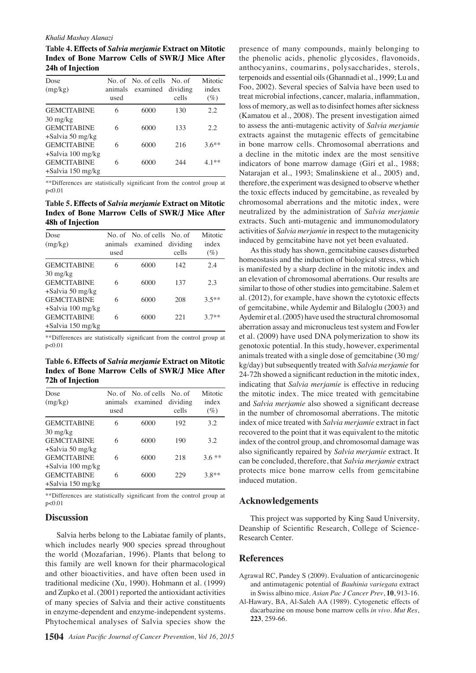#### *Khalid Mashay Alanazi*

**Table 4. Effects of** *Salvia merjamie* **Extract on Mitotic Index of Bone Marrow Cells of SWR/J Mice After 24h of Injection**

| Dose<br>(mg/kg)                  | animals<br>used | No. of No. of cells No. of<br>examined | dividing<br>cells | Mitotic<br>index<br>$(\%)$ |
|----------------------------------|-----------------|----------------------------------------|-------------------|----------------------------|
| <b>GEMCITABINE</b>               | 6               | 6000                                   | 130               | 2.2                        |
| $30 \frac{\text{mg}}{\text{kg}}$ |                 |                                        |                   |                            |
| <b>GEMCITABINE</b>               | 6               | 6000                                   | 133               | 2.2.                       |
| $+$ Salvia 50 mg/kg              |                 |                                        |                   |                            |
| <b>GEMCITABINE</b>               | 6               | 6000                                   | 216               | $3.6**$                    |
| $+$ Salvia 100 mg/kg             |                 |                                        |                   |                            |
| <b>GEMCITABINE</b>               | 6               | 6000                                   | 244               | $4.1**$                    |
| $+$ Salvia 150 mg/kg             |                 |                                        |                   |                            |

\*\*Differences are statistically significant from the control group at p<0.01

**Table 5. Effects of** *Salvia merjamie* **Extract on Mitotic Index of Bone Marrow Cells of SWR/J Mice After 48h of Injection**

| Dose<br>(mg/kg)                  | animals<br>used | No. of No. of cells No. of<br>examined dividing | cells | Mitotic<br>index<br>$(\%)$ |
|----------------------------------|-----------------|-------------------------------------------------|-------|----------------------------|
| <b>GEMCITABINE</b>               | 6               | 6000                                            | 142   | 2.4                        |
| $30 \frac{\text{mg}}{\text{kg}}$ |                 |                                                 |       |                            |
| <b>GEMCITABINE</b>               | 6               | 6000                                            | 137   | 2.3                        |
| +Salvia 50 mg/kg                 |                 |                                                 |       |                            |
| <b>GEMCITABINE</b>               | 6               | 6000                                            | 208   | $3.5**$                    |
| +Salvia 100 mg/kg                |                 |                                                 |       |                            |
| <b>GEMCITABINE</b>               | 6               | 6000                                            | 221   | $37**$                     |
| +Salvia 150 mg/kg                |                 |                                                 |       |                            |

\*\*Differences are statistically significant from the control group at p<0.01

**Table 6. Effects of** *Salvia merjamie* **Extract on Mitotic Index of Bone Marrow Cells of SWR/J Mice After 72h of Injection**

| Dose<br>(mg/kg)      | animals<br>used | No. of No. of cells No. of<br>examined | dividing<br>cells | Mitotic<br>index<br>$(\%)$ |
|----------------------|-----------------|----------------------------------------|-------------------|----------------------------|
| <b>GEMCITABINE</b>   | 6               | 6000                                   | 192               | 3.2                        |
| $30 \text{ mg/kg}$   |                 |                                        |                   |                            |
| <b>GEMCITABINE</b>   | 6               | 6000                                   | 190               | 3.2                        |
| $+$ Salvia 50 mg/kg  |                 |                                        |                   |                            |
| <b>GEMCITABINE</b>   | 6               | 6000                                   | 218               | $3.6**$                    |
| $+$ Salvia 100 mg/kg |                 |                                        |                   |                            |
| <b>GEMCITABINE</b>   | 6               | 6000                                   | 229               | $3.8**$                    |
| $+$ Salvia 150 mg/kg |                 |                                        |                   |                            |

\*\*Differences are statistically significant from the control group at p<0.01

## **Discussion**

Salvia herbs belong to the Labiatae family of plants, which includes nearly 900 species spread throughout the world (Mozafarian, 1996). Plants that belong to this family are well known for their pharmacological and other bioactivities, and have often been used in traditional medicine (Xu, 1990). Hohmann et al. (1999) and Zupko et al. (2001) reported the antioxidant activities of many species of Salvia and their active constituents in enzyme-dependent and enzyme-independent systems. Phytochemical analyses of Salvia species show the

presence of many compounds, mainly belonging to the phenolic acids, phenolic glycosides, flavonoids, anthocyanins, coumarins, polysaccharides, sterols, terpenoids and essential oils (Ghannadi et al., 1999; Lu and Foo, 2002). Several species of Salvia have been used to treat microbial infections, cancer, malaria, inflammation, loss of memory, as well as to disinfect homes after sickness (Kamatou et al., 2008). The present investigation aimed to assess the anti-mutagenic activity of *Salvia merjamie* extracts against the mutagenic effects of gemcitabine in bone marrow cells. Chromosomal aberrations and a decline in the mitotic index are the most sensitive indicators of bone marrow damage (Giri et al., 1988; Natarajan et al., 1993; Smalinskiene et al., 2005) and, therefore, the experiment was designed to observe whether the toxic effects induced by gemcitabine, as revealed by chromosomal aberrations and the mitotic index, were neutralized by the administration of *Salvia merjamie* extracts. Such anti-mutagenic and immunomodulatory activities of *Salvia merjamie* in respect to the mutagenicity induced by gemcitabine have not yet been evaluated.

As this study has shown, gemcitabine causes disturbed homeostasis and the induction of biological stress, which is manifested by a sharp decline in the mitotic index and an elevation of chromosomal aberrations. Our results are similar to those of other studies into gemcitabine. Salem et al. (2012), for example, have shown the cytotoxic effects of gemcitabine, while Aydemir and Bilaloglu (2003) and Aydemir et al. (2005) have used the structural chromosomal aberration assay and micronucleus test system and Fowler et al. (2009) have used DNA polymerization to show its genotoxic potential. In this study, however, experimental animals treated with a single dose of gemcitabine (30 mg/ kg/day) but subsequently treated with *Salvia merjamie* for 24-72h showed a significant reduction in the mitotic index, indicating that *Salvia merjamie* is effective in reducing the mitotic index. The mice treated with gemcitabine and *Salvia merjamie* also showed a significant decrease in the number of chromosomal aberrations. The mitotic index of mice treated with *Salvia merjamie* extract in fact recovered to the point that it was equivalent to the mitotic index of the control group, and chromosomal damage was also significantly repaired by *Salvia merjamie* extract. It can be concluded, therefore, that *Salvia merjamie* extract protects mice bone marrow cells from gemcitabine induced mutation.

## **Acknowledgements**

This project was supported by King Saud University, Deanship of Scientific Research, College of Science-Research Center.

## **References**

- Agrawal RC, Pandey S (2009). Evaluation of anticarcinogenic and antimutagenic potential of *Bauhinia variegata* extract in Swiss albino mice. *Asian Pac J Cancer Prev*, **10**, 913-16.
- Al-Hawary, BA, Al-Saleh AA (1989). Cytogenetic effects of dacarbazine on mouse bone marrow cells *in vivo*. *Mut Res*, **223**, 259-66.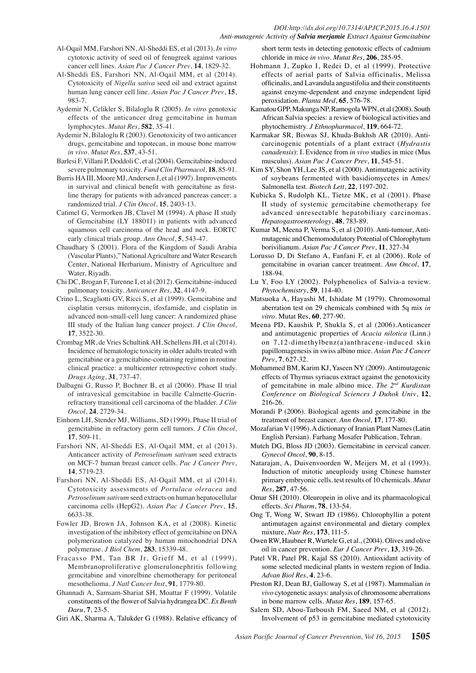#### *DOI:http://dx.doi.org/10.7314/APJCP.2015.16.4.1501 Anti-mutagenic Activity of Salvia merjamie Extract Against Gemcitabine*

- Al-Oqail MM, Farshori NN, Al-Sheddi ES, et al (2013). *In vitro*  cytotoxic activity of seed oil of fenugreek against various cancer cell lines. *Asian Pac J Cancer Prev*, **14**, 1829-32.
- Al-Sheddi ES, Farshori NN, Al-Oqail MM, et al (2014). Cytotoxicity of *Nigella sativa* seed oil and extract against human lung cancer cell line. *Asian Pac J Cancer Prev*, **15**, 983-7.
- Aydemir N, Celikler S, Bilaloglu R (2005). *In vitro* genotoxic effects of the anticancer drug gemcitabine in human lymphocytes. *Mutat Res*, **582**, 35-41.
- Aydemir N, Bilaloglu R (2003). Genotoxicity of two anticancer drugs, gemcitabine and topotecan, in mouse bone marrow *in vivo*. *Mutat Res*, **537**, 43-51.
- Barlesi F, Villani P, Doddoli C, et al (2004). Gemcitabine-induced severe pulmonary toxicity. *Fund Clin Pharmacol*, **18**, 85-91.
- Burris HA III, Moore MJ, Andersen J, et al (1997). Improvements in survival and clinical benefit with gemcitabine as firstline therapy for patients with advanced pancreas cancer: a randomized trial. *J Clin Oncol*, **15**, 2403-13.
- Catimel G, Vermorken JB, Clavel M (1994). A phase II study of Gemcitabine (LY 188011) in patients with advanced squamous cell carcinoma of the head and neck. EORTC early clinical trials group. *Ann Oncol*, **5**, 543-47.
- Chaudhary S (2001). Flora of the Kingdom of Saudi Arabia (Vascular Plants)," National Agriculture and Water Research Center, National Herbarium, Ministry of Agriculture and Water, Riyadh.
- Chi DC, Brogan F, Turenne I, et al (2012). Gemcitabine-induced pulmonary toxicity. *Anticancer Res*, **32**, 4147-9.
- Crino L, Scagliotti GV, Ricci S, et al (1999). Gemcitabine and cisplatin versus mitomycin, ifosfamide, and cisplatin in advanced non-small-cell lung cancer: A randomized phase III study of the Italian lung cancer project. *J Clin Oncol*, **17**, 3522-30.
- Crombag MR, de Vries Schultink AH, Schellens JH, et al (2014). Incidence of hematologic toxicity in older adults treated with gemcitabine or a gemcitabine-containing regimen in routine clinical practice: a multicenter retrospective cohort study. *Drugs Aging*, **31**, 737-47.
- Dalbagni G, Russo P, Bochner B, et al (2006). Phase II trial of intravesical gemcitabine in bacille Calmette-Guerinrefractory transitional cell carcinoma of the bladder. *J Clin Oncol*, **24**, 2729-34.
- Einhorn LH, Stender MJ, Williams, SD (1999). Phase II trial of gemcitabine in refractory germ cell tumors. *J Clin Oncol*, **17**, 509-11.
- Farshori NN, Al-Sheddi ES, Al-Oqail MM, et al (2013). Anticancer activity of *Petroselinum sativum* seed extracts on MCF-7 human breast cancer cells. *Pac J Cancer Prev*, **14**, 5719-23.
- Farshori NN, Al-Sheddi ES, Al-Oqail MM, et al (2014). Cytotoxicity assessments of *Portulaca oleracea* and *Petroselinum sativum* seed extracts on human hepatocellular carcinoma cells (HepG2). *Asian Pac J Cancer Prev*, **15**, 6633-38.
- Fowler JD, Brown JA, Johnson KA, et al (2008). Kinetic investigation of the inhibitory effect of gemcitabine on DNA polymerization catalyzed by human mitochondrial DNA polymerase. *J Biol Chem*, **283**, 15339-48.
- Fracasso PM, Tan BR Jr, Grieff M, et al (1999). Membranoproliferative glomerulonephritis following gemcitabine and vinorelbine chemotherapy for peritoneal mesothelioma. *J Natl Cancer Inst*, **91**, 1779-80.
- Ghannadi A, Samsam-Shariat SH, Moattar F (1999). Volatile constituents of the flower of Salvia hydrangea DC. *Ex Benth Daru*, **7**, 23-5.
- Giri AK, Sharma A, Talukder G (1988). Relative efficancy of

short term tests in detecting genotoxic effects of cadmium chloride in mice *in vivo*. *Mutat Res*, **206**, 285-95.

- Hohmann J, Zupko I, Redei D, et al (1999). Protective effects of aerial parts of Salvia officinalis, Melissa officinalis, and Lavandula angustifolia and their constituents against enzyme-dependent and enzyme independent lipid peroxidation. *Planta Med*, **65**, 576-78.
- Kamatou GPP, Makunga NP, Ramogola WPN, et al (2008). South African Salvia species: a review of biological activities and phytochemistry. *J Ethnopharmacol*, **119**, 664-72.
- Karmakar SR, Biswas SJ, Khuda-Bukhsh AR (2010). Anticarcinogenic potentials of a plant extract (*Hydrastis canadensis*): I. Evidence from *in vivo* studies in mice (Mus musculus). *Asian Pac J Cancer Prev*, **11**, 545-51.
- Kim SY, Shon YH, Lee JS, et al (2000). Antimutagenic activity of soybeans fermented with basidiomycetes in Ames/ Salmonella test. *Biotech Lett*, **22**, 1197-202.
- Kubicka S, Rudolph KL, Tietze MK, et al (2001). Phase II study of systemic gemcitabine chemotherapy for advanced unresectable hepatobiliary carcinomas. *Hepatogastroenterology*, **48**, 783-89.
- Kumar M, Meena P, Verma S, et al (2010). Anti-tumour, Antimutagenic and Chemomodulatory Potential of Chlorophytum borivilianum. *Asian Pac J Cancer Prev*, **11**, 327-34
- Lorusso D, Di Stefano A, Fanfani F, et al (2006). Role of gemcitabine in ovarian cancer treatment. *Ann Oncol*, **17**, 188-94.
- Lu Y, Foo LY (2002). Polyphenolics of Salvia-a review. *Phytochemistry*, **59**, 114-40.
- Matsuoka A, Hayashi M, Ishidate M (1979). Chromosomal aberration test on 29 chemicals combined with 5q mix *in vitro*. Mutat Res, **60**, 277-90.
- Meena PD, Kaushik P, Shukla S, et al (2006).Anticancer and antimutagenic properties of *Acacia nilotica* (Linn.) on 7,12-dimethylbenz(a)anthracene-induced skin papillomagenesis in swiss albino mice. *Asian Pac J Cancer Prev*, **7**, 627-32.
- Mohammed BM, Karim KJ, Yaseen NY (2009). Antimutagenic effects of Thymus syriacus extract against the genotoxicity of gemcitabine in male albino mice. *The 2nd Kurdistan Conference on Biological Sciences J Duhok Univ*, **12**, 216-26.
- Morandi P (2006). Biological agents and gemcitabine in the treatment of breast cancer. *Ann Oncol*, **17**, 177-80.
- Mozafarian V (1996). A dictionary of Iranian Plant Names (Latin English Persian). Farhang Mosafer Publication, Tehran.
- Mutch DG, Bloss JD (2003). Gemcitabine in cervical cancer. *Gynecol Oncol*, **90**, 8-15.
- Natarajan, A, Duivenvoorden W, Meijers M, et al (1993). Induction of mitotic aneuploidy using Chinese hamster primary embryonic cells. test results of 10 chemicals. *Mutat Res*, **287**, 47-56.
- Omar SH (2010). Oleuropein in olive and its pharmacological effects. *Sci Pharm*, **78**, 133-54.
- Ong T, Wong W, Stwart JD (1986). Chlorophyllin a potent antimutagen against environmental and dietary complex mixture, *Nutr Res*, **173**, 111-5.
- Owen RW, Haubner R, Wurtele G, et al., (2004). Olives and olive oil in cancer prevention. *Eur J Cancer Prev*, **13**, 319-26.
- Patel VR, Patel PR, Kajal SS (2010). Antioxidant activity of some selected medicinal plants in western region of India. *Advan Biol Res*, **4**, 23-6.
- Preston RJ, Dean BJ, Galloway S, et al (1987). Mammalian *in vivo* cytogenetic assays: analysis of chromosome aberrations in bone marrow cells. *Mutat Res*, **189**, 157-65.
- Salem SD, Abou-Tarboush FM, Saeed NM, et al (2012). Involvement of p53 in gemcitabine mediated cytotoxicity